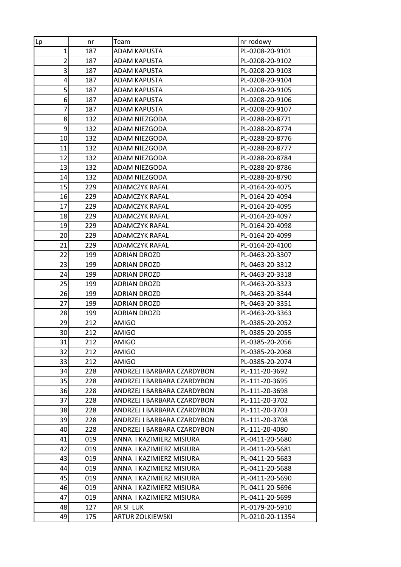| Lp                      | nr  | Team                        | nr rodowy        |
|-------------------------|-----|-----------------------------|------------------|
| $\mathbf{1}$            | 187 | <b>ADAM KAPUSTA</b>         | PL-0208-20-9101  |
| $\overline{c}$          | 187 | ADAM KAPUSTA                | PL-0208-20-9102  |
| 3                       | 187 | <b>ADAM KAPUSTA</b>         | PL-0208-20-9103  |
| $\overline{\mathbf{r}}$ | 187 | <b>ADAM KAPUSTA</b>         | PL-0208-20-9104  |
| 5                       | 187 | <b>ADAM KAPUSTA</b>         | PL-0208-20-9105  |
| 6                       | 187 | ADAM KAPUSTA                | PL-0208-20-9106  |
| 7                       | 187 | ADAM KAPUSTA                | PL-0208-20-9107  |
| 8                       | 132 | ADAM NIEZGODA               | PL-0288-20-8771  |
| 9                       | 132 | ADAM NIEZGODA               | PL-0288-20-8774  |
| 10                      | 132 | ADAM NIEZGODA               | PL-0288-20-8776  |
| 11                      | 132 | ADAM NIEZGODA               | PL-0288-20-8777  |
| 12                      | 132 | ADAM NIEZGODA               | PL-0288-20-8784  |
| 13                      | 132 | ADAM NIEZGODA               | PL-0288-20-8786  |
| 14                      | 132 | ADAM NIEZGODA               | PL-0288-20-8790  |
| 15                      | 229 | <b>ADAMCZYK RAFAL</b>       | PL-0164-20-4075  |
| 16                      | 229 | <b>ADAMCZYK RAFAL</b>       | PL-0164-20-4094  |
| 17                      | 229 | <b>ADAMCZYK RAFAL</b>       | PL-0164-20-4095  |
| 18                      | 229 | <b>ADAMCZYK RAFAL</b>       | PL-0164-20-4097  |
| 19                      | 229 | <b>ADAMCZYK RAFAL</b>       | PL-0164-20-4098  |
| 20                      | 229 | <b>ADAMCZYK RAFAL</b>       | PL-0164-20-4099  |
| 21                      | 229 | <b>ADAMCZYK RAFAL</b>       | PL-0164-20-4100  |
| 22                      | 199 | <b>ADRIAN DROZD</b>         | PL-0463-20-3307  |
| 23                      | 199 | <b>ADRIAN DROZD</b>         | PL-0463-20-3312  |
| 24                      | 199 | <b>ADRIAN DROZD</b>         | PL-0463-20-3318  |
| 25                      | 199 | <b>ADRIAN DROZD</b>         | PL-0463-20-3323  |
| 26                      | 199 | <b>ADRIAN DROZD</b>         | PL-0463-20-3344  |
| 27                      | 199 | <b>ADRIAN DROZD</b>         | PL-0463-20-3351  |
| 28                      | 199 | <b>ADRIAN DROZD</b>         | PL-0463-20-3363  |
| 29                      | 212 | AMIGO                       | PL-0385-20-2052  |
| 30                      | 212 | <b>AMIGO</b>                | PL-0385-20-2055  |
| 31                      | 212 | <b>AMIGO</b>                | PL-0385-20-2056  |
| 32                      | 212 | AMIGO                       | PL-0385-20-2068  |
| 33                      | 212 | AMIGO                       | PL-0385-20-2074  |
| 34                      | 228 | ANDRZEJ I BARBARA CZARDYBON | PL-111-20-3692   |
| 35                      | 228 | ANDRZEJ I BARBARA CZARDYBON | PL-111-20-3695   |
| 36                      | 228 | ANDRZEJ I BARBARA CZARDYBON | PL-111-20-3698   |
| 37                      | 228 | ANDRZEJ I BARBARA CZARDYBON | PL-111-20-3702   |
| 38                      | 228 | ANDRZEJ I BARBARA CZARDYBON | PL-111-20-3703   |
| 39                      | 228 | ANDRZEJ I BARBARA CZARDYBON | PL-111-20-3708   |
| 40                      | 228 | ANDRZEJ I BARBARA CZARDYBON | PL-111-20-4080   |
| 41                      | 019 | ANNA I KAZIMIERZ MISIURA    | PL-0411-20-5680  |
| 42                      | 019 | ANNA I KAZIMIERZ MISIURA    | PL-0411-20-5681  |
| 43                      | 019 | ANNA I KAZIMIERZ MISIURA    | PL-0411-20-5683  |
| 44                      | 019 | ANNA I KAZIMIERZ MISIURA    | PL-0411-20-5688  |
| 45                      | 019 | ANNA I KAZIMIERZ MISIURA    | PL-0411-20-5690  |
| 46                      | 019 | ANNA I KAZIMIERZ MISIURA    | PL-0411-20-5696  |
| 47                      | 019 | ANNA I KAZIMIERZ MISIURA    | PL-0411-20-5699  |
| 48                      | 127 | AR SI LUK                   | PL-0179-20-5910  |
| 49                      | 175 | ARTUR ZOLKIEWSKI            | PL-0210-20-11354 |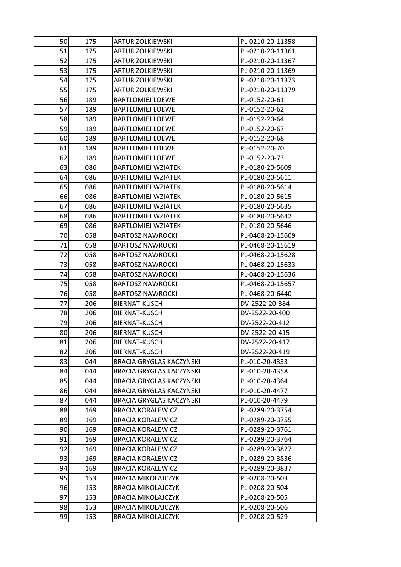| 50 | 175 | <b>ARTUR ZOLKIEWSKI</b>         | PL-0210-20-11358 |
|----|-----|---------------------------------|------------------|
| 51 | 175 | <b>ARTUR ZOLKIEWSKI</b>         | PL-0210-20-11361 |
| 52 | 175 | <b>ARTUR ZOLKIEWSKI</b>         | PL-0210-20-11367 |
| 53 | 175 | <b>ARTUR ZOLKIEWSKI</b>         | PL-0210-20-11369 |
| 54 | 175 | <b>ARTUR ZOLKIEWSKI</b>         | PL-0210-20-11373 |
| 55 | 175 | <b>ARTUR ZOLKIEWSKI</b>         | PL-0210-20-11379 |
| 56 | 189 | <b>BARTLOMIEJ LOEWE</b>         | PL-0152-20-61    |
| 57 | 189 | <b>BARTLOMIEJ LOEWE</b>         | PL-0152-20-62    |
| 58 | 189 | <b>BARTLOMIEJ LOEWE</b>         | PL-0152-20-64    |
| 59 | 189 | <b>BARTLOMIEJ LOEWE</b>         | PL-0152-20-67    |
| 60 | 189 | <b>BARTLOMIEJ LOEWE</b>         | PL-0152-20-68    |
| 61 | 189 | <b>BARTLOMIEJ LOEWE</b>         | PL-0152-20-70    |
| 62 | 189 | <b>BARTLOMIEJ LOEWE</b>         | PL-0152-20-73    |
| 63 | 086 | <b>BARTLOMIEJ WZIATEK</b>       | PL-0180-20-5609  |
| 64 | 086 | <b>BARTLOMIEJ WZIATEK</b>       | PL-0180-20-5611  |
| 65 | 086 | <b>BARTLOMIEJ WZIATEK</b>       | PL-0180-20-5614  |
| 66 | 086 | <b>BARTLOMIEJ WZIATEK</b>       | PL-0180-20-5615  |
| 67 | 086 | <b>BARTLOMIEJ WZIATEK</b>       | PL-0180-20-5635  |
| 68 | 086 | <b>BARTLOMIEJ WZIATEK</b>       | PL-0180-20-5642  |
| 69 | 086 | <b>BARTLOMIEJ WZIATEK</b>       | PL-0180-20-5646  |
| 70 | 058 | <b>BARTOSZ NAWROCKI</b>         | PL-0468-20-15609 |
| 71 | 058 | <b>BARTOSZ NAWROCKI</b>         | PL-0468-20-15619 |
| 72 | 058 | <b>BARTOSZ NAWROCKI</b>         | PL-0468-20-15628 |
| 73 | 058 | <b>BARTOSZ NAWROCKI</b>         | PL-0468-20-15633 |
| 74 | 058 | <b>BARTOSZ NAWROCKI</b>         | PL-0468-20-15636 |
| 75 | 058 | <b>BARTOSZ NAWROCKI</b>         | PL-0468-20-15657 |
| 76 | 058 | <b>BARTOSZ NAWROCKI</b>         | PL-0468-20-6440  |
| 77 | 206 | BIERNAT-KUSCH                   | DV-2522-20-384   |
| 78 | 206 | BIERNAT-KUSCH                   | DV-2522-20-400   |
| 79 | 206 | BIERNAT-KUSCH                   | DV-2522-20-412   |
| 80 | 206 | <b>BIERNAT-KUSCH</b>            | DV-2522-20-415   |
| 81 | 206 | BIERNAT-KUSCH                   | DV-2522-20-417   |
| 82 | 206 | BIERNAT-KUSCH                   | DV-2522-20-419   |
| 83 | 044 | <b>BRACIA GRYGLAS KACZYNSKI</b> | PL-010-20-4333   |
| 84 | 044 | <b>BRACIA GRYGLAS KACZYNSKI</b> | PL-010-20-4358   |
| 85 | 044 | <b>BRACIA GRYGLAS KACZYNSKI</b> | PL-010-20-4364   |
| 86 | 044 | <b>BRACIA GRYGLAS KACZYNSKI</b> | PL-010-20-4477   |
| 87 | 044 | <b>BRACIA GRYGLAS KACZYNSKI</b> | PL-010-20-4479   |
| 88 | 169 | <b>BRACIA KORALEWICZ</b>        | PL-0289-20-3754  |
| 89 | 169 | <b>BRACIA KORALEWICZ</b>        | PL-0289-20-3755  |
| 90 | 169 | <b>BRACIA KORALEWICZ</b>        | PL-0289-20-3761  |
| 91 | 169 | <b>BRACIA KORALEWICZ</b>        | PL-0289-20-3764  |
| 92 | 169 | <b>BRACIA KORALEWICZ</b>        | PL-0289-20-3827  |
| 93 | 169 | <b>BRACIA KORALEWICZ</b>        | PL-0289-20-3836  |
| 94 | 169 | <b>BRACIA KORALEWICZ</b>        | PL-0289-20-3837  |
| 95 | 153 | <b>BRACIA MIKOLAJCZYK</b>       | PL-0208-20-503   |
| 96 | 153 | <b>BRACIA MIKOLAJCZYK</b>       | PL-0208-20-504   |
| 97 | 153 | <b>BRACIA MIKOLAJCZYK</b>       | PL-0208-20-505   |
| 98 | 153 | <b>BRACIA MIKOLAJCZYK</b>       | PL-0208-20-506   |
| 99 | 153 | <b>BRACIA MIKOLAJCZYK</b>       | PL-0208-20-529   |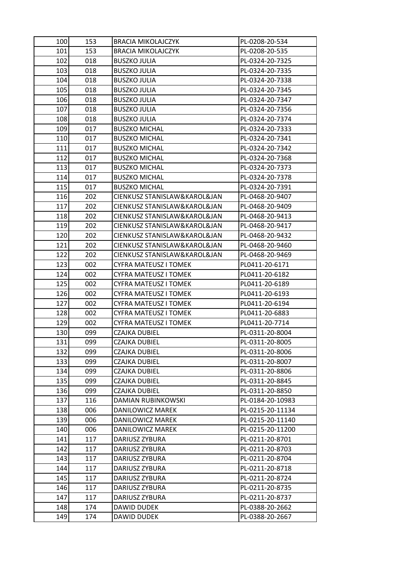| 100 | 153 | <b>BRACIA MIKOLAJCZYK</b>    | PL-0208-20-534   |
|-----|-----|------------------------------|------------------|
| 101 | 153 | <b>BRACIA MIKOLAJCZYK</b>    | PL-0208-20-535   |
| 102 | 018 | <b>BUSZKO JULIA</b>          | PL-0324-20-7325  |
| 103 | 018 | <b>BUSZKO JULIA</b>          | PL-0324-20-7335  |
| 104 | 018 | <b>BUSZKO JULIA</b>          | PL-0324-20-7338  |
| 105 | 018 | <b>BUSZKO JULIA</b>          | PL-0324-20-7345  |
| 106 | 018 | <b>BUSZKO JULIA</b>          | PL-0324-20-7347  |
| 107 | 018 | <b>BUSZKO JULIA</b>          | PL-0324-20-7356  |
| 108 | 018 | <b>BUSZKO JULIA</b>          | PL-0324-20-7374  |
| 109 | 017 | <b>BUSZKO MICHAL</b>         | PL-0324-20-7333  |
| 110 | 017 | <b>BUSZKO MICHAL</b>         | PL-0324-20-7341  |
| 111 | 017 | <b>BUSZKO MICHAL</b>         | PL-0324-20-7342  |
| 112 | 017 | <b>BUSZKO MICHAL</b>         | PL-0324-20-7368  |
| 113 | 017 | <b>BUSZKO MICHAL</b>         | PL-0324-20-7373  |
| 114 | 017 | <b>BUSZKO MICHAL</b>         | PL-0324-20-7378  |
| 115 | 017 | <b>BUSZKO MICHAL</b>         | PL-0324-20-7391  |
| 116 | 202 | CIENKUSZ STANISLAW&KAROL&JAN | PL-0468-20-9407  |
| 117 | 202 | CIENKUSZ STANISLAW&KAROL&JAN | PL-0468-20-9409  |
| 118 | 202 | CIENKUSZ STANISLAW&KAROL&JAN | PL-0468-20-9413  |
| 119 | 202 | CIENKUSZ STANISLAW&KAROL&JAN | PL-0468-20-9417  |
| 120 | 202 | CIENKUSZ STANISLAW&KAROL&JAN | PL-0468-20-9432  |
| 121 | 202 | CIENKUSZ STANISLAW&KAROL&JAN | PL-0468-20-9460  |
| 122 | 202 | CIENKUSZ STANISLAW&KAROL&JAN | PL-0468-20-9469  |
| 123 | 002 | CYFRA MATEUSZ I TOMEK        | PL0411-20-6171   |
| 124 | 002 | CYFRA MATEUSZ I TOMEK        | PL0411-20-6182   |
| 125 | 002 | <b>CYFRA MATEUSZ I TOMEK</b> | PL0411-20-6189   |
| 126 | 002 | <b>CYFRA MATEUSZ I TOMEK</b> | PL0411-20-6193   |
| 127 | 002 | <b>CYFRA MATEUSZ I TOMEK</b> | PL0411-20-6194   |
| 128 | 002 | CYFRA MATEUSZ I TOMEK        | PL0411-20-6883   |
| 129 | 002 | CYFRA MATEUSZ I TOMEK        | PL0411-20-7714   |
| 130 | 099 | CZAJKA DUBIEL                | PL-0311-20-8004  |
| 131 | 099 | <b>CZAJKA DUBIEL</b>         | PL-0311-20-8005  |
| 132 | 099 | CZAJKA DUBIEL                | PL-0311-20-8006  |
| 133 | 099 | <b>CZAJKA DUBIEL</b>         | PL-0311-20-8007  |
| 134 | 099 | CZAJKA DUBIEL                | PL-0311-20-8806  |
| 135 | 099 | <b>CZAJKA DUBIEL</b>         | PL-0311-20-8845  |
| 136 | 099 | <b>CZAJKA DUBIEL</b>         | PL-0311-20-8850  |
| 137 | 116 | <b>DAMIAN RUBINKOWSKI</b>    | PL-0184-20-10983 |
| 138 | 006 | DANILOWICZ MAREK             | PL-0215-20-11134 |
| 139 | 006 | DANILOWICZ MAREK             | PL-0215-20-11140 |
| 140 | 006 | DANILOWICZ MAREK             | PL-0215-20-11200 |
| 141 | 117 | DARIUSZ ZYBURA               | PL-0211-20-8701  |
| 142 | 117 | DARIUSZ ZYBURA               | PL-0211-20-8703  |
| 143 | 117 | DARIUSZ ZYBURA               | PL-0211-20-8704  |
| 144 | 117 | DARIUSZ ZYBURA               | PL-0211-20-8718  |
| 145 | 117 | DARIUSZ ZYBURA               | PL-0211-20-8724  |
| 146 | 117 | DARIUSZ ZYBURA               | PL-0211-20-8735  |
| 147 | 117 | DARIUSZ ZYBURA               | PL-0211-20-8737  |
| 148 | 174 | <b>DAWID DUDEK</b>           | PL-0388-20-2662  |
| 149 | 174 | DAWID DUDEK                  | PL-0388-20-2667  |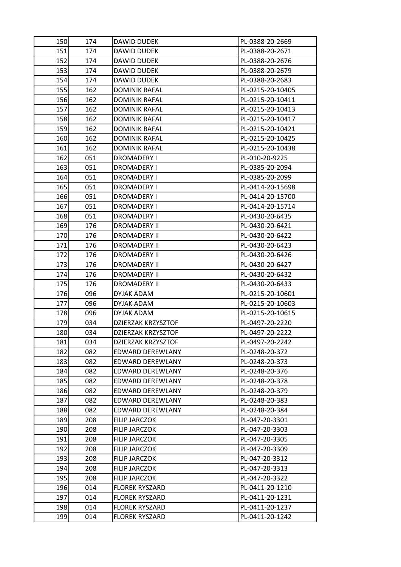| 150 | 174 | DAWID DUDEK               | PL-0388-20-2669  |
|-----|-----|---------------------------|------------------|
| 151 | 174 | DAWID DUDEK               | PL-0388-20-2671  |
| 152 | 174 | DAWID DUDEK               | PL-0388-20-2676  |
| 153 | 174 | <b>DAWID DUDEK</b>        | PL-0388-20-2679  |
| 154 | 174 | DAWID DUDEK               | PL-0388-20-2683  |
| 155 | 162 | <b>DOMINIK RAFAL</b>      | PL-0215-20-10405 |
| 156 | 162 | <b>DOMINIK RAFAL</b>      | PL-0215-20-10411 |
| 157 | 162 | <b>DOMINIK RAFAL</b>      | PL-0215-20-10413 |
| 158 | 162 | <b>DOMINIK RAFAL</b>      | PL-0215-20-10417 |
| 159 | 162 | <b>DOMINIK RAFAL</b>      | PL-0215-20-10421 |
| 160 | 162 | DOMINIK RAFAL             | PL-0215-20-10425 |
| 161 | 162 | <b>DOMINIK RAFAL</b>      | PL-0215-20-10438 |
| 162 | 051 | <b>DROMADERY I</b>        | PL-010-20-9225   |
| 163 | 051 | DROMADERY I               | PL-0385-20-2094  |
| 164 | 051 | DROMADERY I               | PL-0385-20-2099  |
| 165 | 051 | <b>DROMADERY I</b>        | PL-0414-20-15698 |
| 166 | 051 | DROMADERY I               | PL-0414-20-15700 |
| 167 | 051 | <b>DROMADERY I</b>        | PL-0414-20-15714 |
| 168 | 051 | DROMADERY I               | PL-0430-20-6435  |
| 169 | 176 | <b>DROMADERY II</b>       | PL-0430-20-6421  |
| 170 | 176 | <b>DROMADERY II</b>       | PL-0430-20-6422  |
| 171 | 176 | <b>DROMADERY II</b>       | PL-0430-20-6423  |
| 172 | 176 | <b>DROMADERY II</b>       | PL-0430-20-6426  |
| 173 | 176 | DROMADERY II              | PL-0430-20-6427  |
| 174 | 176 | <b>DROMADERY II</b>       | PL-0430-20-6432  |
| 175 | 176 | <b>DROMADERY II</b>       | PL-0430-20-6433  |
| 176 | 096 | DYJAK ADAM                | PL-0215-20-10601 |
| 177 | 096 | DYJAK ADAM                | PL-0215-20-10603 |
| 178 | 096 | DYJAK ADAM                | PL-0215-20-10615 |
| 179 | 034 | DZIERZAK KRZYSZTOF        | PL-0497-20-2220  |
| 180 | 034 | DZIERZAK KRZYSZTOF        | PL-0497-20-2222  |
| 181 | 034 | <b>DZIERZAK KRZYSZTOF</b> | PL-0497-20-2242  |
| 182 | 082 | EDWARD DEREWLANY          | PL-0248-20-372   |
| 183 | 082 | EDWARD DEREWLANY          | PL-0248-20-373   |
| 184 | 082 | EDWARD DEREWLANY          | PL-0248-20-376   |
| 185 | 082 | EDWARD DEREWLANY          | PL-0248-20-378   |
| 186 | 082 | EDWARD DEREWLANY          | PL-0248-20-379   |
| 187 | 082 | EDWARD DEREWLANY          | PL-0248-20-383   |
| 188 | 082 | <b>EDWARD DEREWLANY</b>   | PL-0248-20-384   |
| 189 | 208 | FILIP JARCZOK             | PL-047-20-3301   |
| 190 | 208 | FILIP JARCZOK             | PL-047-20-3303   |
| 191 | 208 | <b>FILIP JARCZOK</b>      | PL-047-20-3305   |
| 192 | 208 | <b>FILIP JARCZOK</b>      | PL-047-20-3309   |
| 193 | 208 | <b>FILIP JARCZOK</b>      | PL-047-20-3312   |
| 194 | 208 | <b>FILIP JARCZOK</b>      | PL-047-20-3313   |
| 195 | 208 | <b>FILIP JARCZOK</b>      | PL-047-20-3322   |
| 196 | 014 | <b>FLOREK RYSZARD</b>     | PL-0411-20-1210  |
| 197 | 014 | <b>FLOREK RYSZARD</b>     | PL-0411-20-1231  |
| 198 | 014 | <b>FLOREK RYSZARD</b>     | PL-0411-20-1237  |
| 199 | 014 | <b>FLOREK RYSZARD</b>     | PL-0411-20-1242  |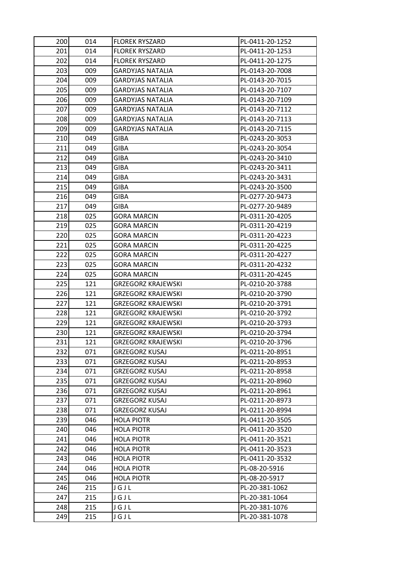| 200 | 014 | <b>FLOREK RYSZARD</b>     | PL-0411-20-1252 |
|-----|-----|---------------------------|-----------------|
| 201 | 014 | <b>FLOREK RYSZARD</b>     | PL-0411-20-1253 |
| 202 | 014 | <b>FLOREK RYSZARD</b>     | PL-0411-20-1275 |
| 203 | 009 | GARDYJAS NATALIA          | PL-0143-20-7008 |
| 204 | 009 | GARDYJAS NATALIA          | PL-0143-20-7015 |
| 205 | 009 | GARDYJAS NATALIA          | PL-0143-20-7107 |
| 206 | 009 | <b>GARDYJAS NATALIA</b>   | PL-0143-20-7109 |
| 207 | 009 | <b>GARDYJAS NATALIA</b>   | PL-0143-20-7112 |
| 208 | 009 | <b>GARDYJAS NATALIA</b>   | PL-0143-20-7113 |
| 209 | 009 | GARDYJAS NATALIA          | PL-0143-20-7115 |
| 210 | 049 | GIBA                      | PL-0243-20-3053 |
| 211 | 049 | <b>GIBA</b>               | PL-0243-20-3054 |
| 212 | 049 | GIBA                      | PL-0243-20-3410 |
| 213 | 049 | GIBA                      | PL-0243-20-3411 |
| 214 | 049 | GIBA                      | PL-0243-20-3431 |
| 215 | 049 | GIBA                      | PL-0243-20-3500 |
| 216 | 049 | <b>GIBA</b>               | PL-0277-20-9473 |
| 217 | 049 | GIBA                      | PL-0277-20-9489 |
| 218 | 025 | GORA MARCIN               | PL-0311-20-4205 |
| 219 | 025 | GORA MARCIN               | PL-0311-20-4219 |
| 220 | 025 | GORA MARCIN               | PL-0311-20-4223 |
| 221 | 025 | <b>GORA MARCIN</b>        | PL-0311-20-4225 |
| 222 | 025 | GORA MARCIN               | PL-0311-20-4227 |
| 223 | 025 | GORA MARCIN               | PL-0311-20-4232 |
| 224 | 025 | GORA MARCIN               | PL-0311-20-4245 |
| 225 | 121 | <b>GRZEGORZ KRAJEWSKI</b> | PL-0210-20-3788 |
| 226 | 121 | <b>GRZEGORZ KRAJEWSKI</b> | PL-0210-20-3790 |
| 227 | 121 | <b>GRZEGORZ KRAJEWSKI</b> | PL-0210-20-3791 |
| 228 | 121 | GRZEGORZ KRAJEWSKI        | PL-0210-20-3792 |
| 229 | 121 | GRZEGORZ KRAJEWSKI        | PL-0210-20-3793 |
| 230 | 121 | GRZEGORZ KRAJEWSKI        | PL-0210-20-3794 |
| 231 | 121 | <b>GRZEGORZ KRAJEWSKI</b> | PL-0210-20-3796 |
| 232 | 071 | GRZEGORZ KUSAJ            | PL-0211-20-8951 |
| 233 | 071 | <b>GRZEGORZ KUSAJ</b>     | PL-0211-20-8953 |
| 234 | 071 | GRZEGORZ KUSAJ            | PL-0211-20-8958 |
| 235 | 071 | <b>GRZEGORZ KUSAJ</b>     | PL-0211-20-8960 |
| 236 | 071 | <b>GRZEGORZ KUSAJ</b>     | PL-0211-20-8961 |
| 237 | 071 | <b>GRZEGORZ KUSAJ</b>     | PL-0211-20-8973 |
| 238 | 071 | <b>GRZEGORZ KUSAJ</b>     | PL-0211-20-8994 |
| 239 | 046 | <b>HOLA PIOTR</b>         | PL-0411-20-3505 |
| 240 | 046 | <b>HOLA PIOTR</b>         | PL-0411-20-3520 |
| 241 | 046 | <b>HOLA PIOTR</b>         | PL-0411-20-3521 |
| 242 | 046 | <b>HOLA PIOTR</b>         | PL-0411-20-3523 |
| 243 | 046 | <b>HOLA PIOTR</b>         | PL-0411-20-3532 |
| 244 | 046 | <b>HOLA PIOTR</b>         | PL-08-20-5916   |
| 245 | 046 | <b>HOLA PIOTR</b>         | PL-08-20-5917   |
| 246 | 215 | JGJL                      | PL-20-381-1062  |
| 247 | 215 | JGJL                      | PL-20-381-1064  |
| 248 | 215 | JGJL                      | PL-20-381-1076  |
| 249 | 215 | JGJL                      | PL-20-381-1078  |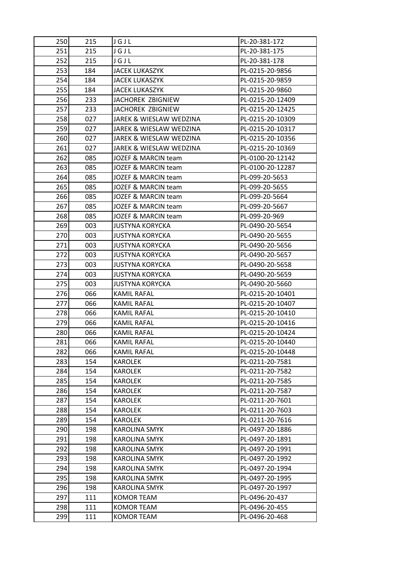| 250        | 215        | JGJL                           | PL-20-381-172                      |
|------------|------------|--------------------------------|------------------------------------|
| 251        | 215        | JGJL                           | PL-20-381-175                      |
| 252        | 215        | JGJL                           | PL-20-381-178                      |
| 253        | 184        | <b>JACEK LUKASZYK</b>          | PL-0215-20-9856                    |
| 254        | 184        | JACEK LUKASZYK                 | PL-0215-20-9859                    |
| 255        | 184        | <b>JACEK LUKASZYK</b>          | PL-0215-20-9860                    |
| 256        | 233        | JACHOREK ZBIGNIEW              | PL-0215-20-12409                   |
| 257        | 233        | JACHOREK ZBIGNIEW              | PL-0215-20-12425                   |
| 258        | 027        | JAREK & WIESLAW WEDZINA        | PL-0215-20-10309                   |
| 259        | 027        | JAREK & WIESLAW WEDZINA        | PL-0215-20-10317                   |
| 260        | 027        | JAREK & WIESLAW WEDZINA        | PL-0215-20-10356                   |
| 261        | 027        | JAREK & WIESLAW WEDZINA        | PL-0215-20-10369                   |
| 262        | 085        | JOZEF & MARCIN team            | PL-0100-20-12142                   |
| 263        | 085        | JOZEF & MARCIN team            | PL-0100-20-12287                   |
| 264        | 085        | JOZEF & MARCIN team            | PL-099-20-5653                     |
| 265        | 085        | JOZEF & MARCIN team            | PL-099-20-5655                     |
| 266        | 085        | JOZEF & MARCIN team            | PL-099-20-5664                     |
| 267        | 085        | JOZEF & MARCIN team            | PL-099-20-5667                     |
| 268        | 085        | JOZEF & MARCIN team            | PL-099-20-969                      |
| 269        | 003        | JUSTYNA KORYCKA                | PL-0490-20-5654                    |
| 270        | 003        | <b>JUSTYNA KORYCKA</b>         | PL-0490-20-5655                    |
| 271        | 003        | <b>JUSTYNA KORYCKA</b>         | PL-0490-20-5656                    |
| 272        | 003        | <b>JUSTYNA KORYCKA</b>         | PL-0490-20-5657                    |
| 273        | 003        | <b>JUSTYNA KORYCKA</b>         | PL-0490-20-5658                    |
| 274        | 003        | JUSTYNA KORYCKA                | PL-0490-20-5659                    |
| 275        | 003        | <b>JUSTYNA KORYCKA</b>         | PL-0490-20-5660                    |
| 276        | 066        | KAMIL RAFAL                    | PL-0215-20-10401                   |
| 277        | 066        | KAMIL RAFAL                    | PL-0215-20-10407                   |
| 278        | 066        | <b>KAMIL RAFAL</b>             | PL-0215-20-10410                   |
| 279        | 066        | KAMIL RAFAL                    | PL-0215-20-10416                   |
| 280        | 066        | KAMIL RAFAL                    | PL-0215-20-10424                   |
| 281        | 066        | KAMIL RAFAL                    | PL-0215-20-10440                   |
| 282        | 066        | KAMIL RAFAL                    | PL-0215-20-10448                   |
| 283        | 154        | <b>KAROLEK</b>                 | PL-0211-20-7581                    |
| 284        | 154        | KAROLEK                        | PL-0211-20-7582                    |
| 285        | 154        | <b>KAROLEK</b>                 | PL-0211-20-7585                    |
| 286        | 154        | <b>KAROLEK</b>                 | PL-0211-20-7587                    |
| 287        | 154        | KAROLEK                        | PL-0211-20-7601                    |
| 288        | 154        | <b>KAROLEK</b>                 | PL-0211-20-7603                    |
| 289        | 154        | KAROLEK                        | PL-0211-20-7616                    |
| 290<br>291 | 198        | <b>KAROLINA SMYK</b>           | PL-0497-20-1886                    |
| 292        | 198        | <b>KAROLINA SMYK</b>           | PL-0497-20-1891<br>PL-0497-20-1991 |
| 293        | 198<br>198 | KAROLINA SMYK<br>KAROLINA SMYK | PL-0497-20-1992                    |
| 294        | 198        | KAROLINA SMYK                  | PL-0497-20-1994                    |
| 295        | 198        | <b>KAROLINA SMYK</b>           | PL-0497-20-1995                    |
| 296        | 198        | <b>KAROLINA SMYK</b>           | PL-0497-20-1997                    |
| 297        | 111        | KOMOR TEAM                     | PL-0496-20-437                     |
| 298        | 111        | <b>KOMOR TEAM</b>              | PL-0496-20-455                     |
| 299        |            |                                | PL-0496-20-468                     |
|            | 111        | KOMOR TEAM                     |                                    |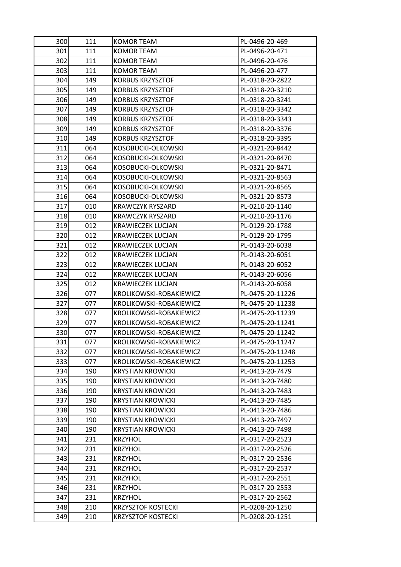| 300 | 111 | KOMOR TEAM                | PL-0496-20-469   |
|-----|-----|---------------------------|------------------|
| 301 | 111 | <b>KOMOR TEAM</b>         | PL-0496-20-471   |
| 302 | 111 | KOMOR TEAM                | PL-0496-20-476   |
| 303 | 111 | <b>KOMOR TEAM</b>         | PL-0496-20-477   |
| 304 | 149 | <b>KORBUS KRZYSZTOF</b>   | PL-0318-20-2822  |
| 305 | 149 | <b>KORBUS KRZYSZTOF</b>   | PL-0318-20-3210  |
| 306 | 149 | <b>KORBUS KRZYSZTOF</b>   | PL-0318-20-3241  |
| 307 | 149 | <b>KORBUS KRZYSZTOF</b>   | PL-0318-20-3342  |
| 308 | 149 | <b>KORBUS KRZYSZTOF</b>   | PL-0318-20-3343  |
| 309 | 149 | <b>KORBUS KRZYSZTOF</b>   | PL-0318-20-3376  |
| 310 | 149 | <b>KORBUS KRZYSZTOF</b>   | PL-0318-20-3395  |
| 311 | 064 | KOSOBUCKI-OLKOWSKI        | PL-0321-20-8442  |
| 312 | 064 | KOSOBUCKI-OLKOWSKI        | PL-0321-20-8470  |
| 313 | 064 | KOSOBUCKI-OLKOWSKI        | PL-0321-20-8471  |
| 314 | 064 | KOSOBUCKI-OLKOWSKI        | PL-0321-20-8563  |
| 315 | 064 | KOSOBUCKI-OLKOWSKI        | PL-0321-20-8565  |
| 316 | 064 | KOSOBUCKI-OLKOWSKI        | PL-0321-20-8573  |
| 317 | 010 | <b>KRAWCZYK RYSZARD</b>   | PL-0210-20-1140  |
| 318 | 010 | <b>KRAWCZYK RYSZARD</b>   | PL-0210-20-1176  |
| 319 | 012 | <b>KRAWIECZEK LUCJAN</b>  | PL-0129-20-1788  |
| 320 | 012 | <b>KRAWIECZEK LUCJAN</b>  | PL-0129-20-1795  |
| 321 | 012 | <b>KRAWIECZEK LUCJAN</b>  | PL-0143-20-6038  |
| 322 | 012 | <b>KRAWIECZEK LUCJAN</b>  | PL-0143-20-6051  |
| 323 | 012 | <b>KRAWIECZEK LUCJAN</b>  | PL-0143-20-6052  |
| 324 | 012 | <b>KRAWIECZEK LUCJAN</b>  | PL-0143-20-6056  |
| 325 | 012 | <b>KRAWIECZEK LUCJAN</b>  | PL-0143-20-6058  |
| 326 | 077 | KROLIKOWSKI-ROBAKIEWICZ   | PL-0475-20-11226 |
| 327 | 077 | KROLIKOWSKI-ROBAKIEWICZ   | PL-0475-20-11238 |
| 328 | 077 | KROLIKOWSKI-ROBAKIEWICZ   | PL-0475-20-11239 |
| 329 | 077 | KROLIKOWSKI-ROBAKIEWICZ   | PL-0475-20-11241 |
| 330 | 077 | KROLIKOWSKI-ROBAKIEWICZ   | PL-0475-20-11242 |
| 331 | 077 | KROLIKOWSKI-ROBAKIEWICZ   | PL-0475-20-11247 |
| 332 | 077 | KROLIKOWSKI-ROBAKIEWICZ   | PL-0475-20-11248 |
| 333 | 077 | KROLIKOWSKI-ROBAKIEWICZ   | PL-0475-20-11253 |
| 334 | 190 | <b>KRYSTIAN KROWICKI</b>  | PL-0413-20-7479  |
| 335 | 190 | <b>KRYSTIAN KROWICKI</b>  | PL-0413-20-7480  |
| 336 | 190 | <b>KRYSTIAN KROWICKI</b>  | PL-0413-20-7483  |
| 337 | 190 | <b>KRYSTIAN KROWICKI</b>  | PL-0413-20-7485  |
| 338 | 190 | <b>KRYSTIAN KROWICKI</b>  | PL-0413-20-7486  |
| 339 | 190 | <b>KRYSTIAN KROWICKI</b>  | PL-0413-20-7497  |
| 340 | 190 | <b>KRYSTIAN KROWICKI</b>  | PL-0413-20-7498  |
| 341 | 231 | <b>KRZYHOL</b>            | PL-0317-20-2523  |
| 342 | 231 | <b>KRZYHOL</b>            | PL-0317-20-2526  |
| 343 | 231 | <b>KRZYHOL</b>            | PL-0317-20-2536  |
| 344 | 231 | <b>KRZYHOL</b>            | PL-0317-20-2537  |
| 345 | 231 | <b>KRZYHOL</b>            | PL-0317-20-2551  |
| 346 | 231 | <b>KRZYHOL</b>            | PL-0317-20-2553  |
| 347 | 231 | <b>KRZYHOL</b>            | PL-0317-20-2562  |
| 348 | 210 | <b>KRZYSZTOF KOSTECKI</b> | PL-0208-20-1250  |
| 349 | 210 | <b>KRZYSZTOF KOSTECKI</b> | PL-0208-20-1251  |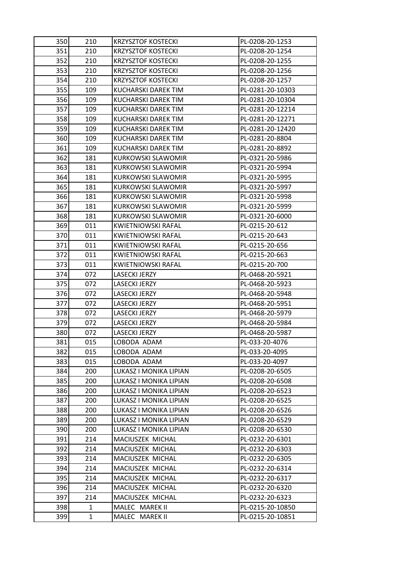| 350  | 210 | <b>KRZYSZTOF KOSTECKI</b> | PL-0208-20-1253  |
|------|-----|---------------------------|------------------|
| 351  | 210 | <b>KRZYSZTOF KOSTECKI</b> | PL-0208-20-1254  |
| 352  | 210 | <b>KRZYSZTOF KOSTECKI</b> | PL-0208-20-1255  |
| 353  | 210 | <b>KRZYSZTOF KOSTECKI</b> | PL-0208-20-1256  |
| 354  | 210 | <b>KRZYSZTOF KOSTECKI</b> | PL-0208-20-1257  |
| 355  | 109 | KUCHARSKI DAREK TIM       | PL-0281-20-10303 |
| 356  | 109 | KUCHARSKI DAREK TIM       | PL-0281-20-10304 |
| 357  | 109 | KUCHARSKI DAREK TIM       | PL-0281-20-12214 |
| 358  | 109 | KUCHARSKI DAREK TIM       | PL-0281-20-12271 |
| 359  | 109 | KUCHARSKI DAREK TIM       | PL-0281-20-12420 |
| 360  | 109 | KUCHARSKI DAREK TIM       | PL-0281-20-8804  |
| 361  | 109 | KUCHARSKI DAREK TIM       | PL-0281-20-8892  |
| 362  | 181 | <b>KURKOWSKI SLAWOMIR</b> | PL-0321-20-5986  |
| 363  | 181 | <b>KURKOWSKI SLAWOMIR</b> | PL-0321-20-5994  |
| 364  | 181 | KURKOWSKI SLAWOMIR        | PL-0321-20-5995  |
| 365  | 181 | <b>KURKOWSKI SLAWOMIR</b> | PL-0321-20-5997  |
| 366  | 181 | <b>KURKOWSKI SLAWOMIR</b> | PL-0321-20-5998  |
| 367  | 181 | <b>KURKOWSKI SLAWOMIR</b> | PL-0321-20-5999  |
| 368  | 181 | <b>KURKOWSKI SLAWOMIR</b> | PL-0321-20-6000  |
| 369  | 011 | <b>KWIETNIOWSKI RAFAL</b> | PL-0215-20-612   |
| 370  | 011 | KWIETNIOWSKI RAFAL        | PL-0215-20-643   |
| 371  | 011 | <b>KWIETNIOWSKI RAFAL</b> | PL-0215-20-656   |
| 3721 | 011 | KWIETNIOWSKI RAFAL        | PL-0215-20-663   |
| 373  | 011 | KWIETNIOWSKI RAFAL        | PL-0215-20-700   |
| 374  | 072 | <b>LASECKI JERZY</b>      | PL-0468-20-5921  |
| 375  | 072 | LASECKI JERZY             | PL-0468-20-5923  |
| 376  | 072 | <b>LASECKI JERZY</b>      | PL-0468-20-5948  |
| 377  | 072 | LASECKI JERZY             | PL-0468-20-5951  |
| 378  | 072 | LASECKI JERZY             | PL-0468-20-5979  |
| 379  | 072 | <b>LASECKI JERZY</b>      | PL-0468-20-5984  |
| 380  | 072 | LASECKI JERZY             | PL-0468-20-5987  |
| 381  | 015 | LOBODA ADAM               | PL-033-20-4076   |
| 382  | 015 | LOBODA ADAM               | PL-033-20-4095   |
| 383  | 015 | LOBODA ADAM               | PL-033-20-4097   |
| 384  | 200 | LUKASZ I MONIKA LIPIAN    | PL-0208-20-6505  |
| 385  | 200 | LUKASZ I MONIKA LIPIAN    | PL-0208-20-6508  |
| 386  | 200 | LUKASZ I MONIKA LIPIAN    | PL-0208-20-6523  |
| 387  | 200 | LUKASZ I MONIKA LIPIAN    | PL-0208-20-6525  |
| 388  | 200 | LUKASZ I MONIKA LIPIAN    | PL-0208-20-6526  |
| 389  | 200 | LUKASZ I MONIKA LIPIAN    | PL-0208-20-6529  |
| 390  | 200 | LUKASZ I MONIKA LIPIAN    | PL-0208-20-6530  |
| 391  | 214 | MACIUSZEK MICHAL          | PL-0232-20-6301  |
| 392  | 214 | MACIUSZEK MICHAL          | PL-0232-20-6303  |
| 393  | 214 | MACIUSZEK MICHAL          | PL-0232-20-6305  |
| 394  | 214 | MACIUSZEK MICHAL          | PL-0232-20-6314  |
| 395  | 214 | MACIUSZEK MICHAL          | PL-0232-20-6317  |
| 396  | 214 | MACIUSZEK MICHAL          | PL-0232-20-6320  |
| 397  | 214 | MACIUSZEK MICHAL          | PL-0232-20-6323  |
| 398  | 1   | MALEC MAREK II            | PL-0215-20-10850 |
| 399  | 1   | MALEC MAREK II            | PL-0215-20-10851 |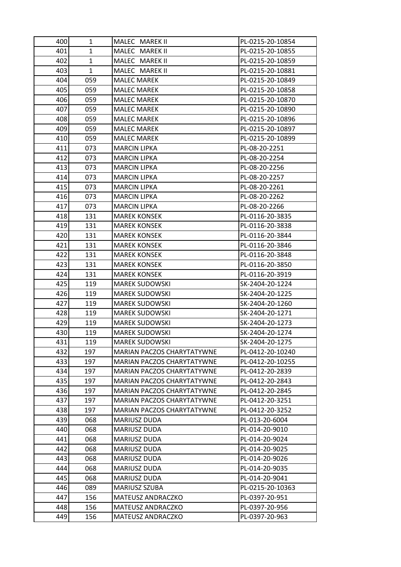| 400        | 1            | MALEC MAREK II               | PL-0215-20-10854                 |
|------------|--------------|------------------------------|----------------------------------|
| 401        | 1            | MALEC MAREK II               | PL-0215-20-10855                 |
| 402        | 1            | MALEC MAREK II               | PL-0215-20-10859                 |
| 403        | $\mathbf{1}$ | MALEC MAREK II               | PL-0215-20-10881                 |
| 404        | 059          | <b>MALEC MAREK</b>           | PL-0215-20-10849                 |
| 405        | 059          | <b>MALEC MAREK</b>           | PL-0215-20-10858                 |
| 406        | 059          | <b>MALEC MAREK</b>           | PL-0215-20-10870                 |
| 407        | 059          | <b>MALEC MAREK</b>           | PL-0215-20-10890                 |
| 408        | 059          | <b>MALEC MAREK</b>           | PL-0215-20-10896                 |
| 409        | 059          | <b>MALEC MAREK</b>           | PL-0215-20-10897                 |
| 410        | 059          | <b>MALEC MAREK</b>           | PL-0215-20-10899                 |
| 411        | 073          | <b>MARCIN LIPKA</b>          | PL-08-20-2251                    |
| 4121       | 073          | <b>MARCIN LIPKA</b>          | PL-08-20-2254                    |
| 413        | 073          | <b>MARCIN LIPKA</b>          | PL-08-20-2256                    |
| 414        | 073          | <b>MARCIN LIPKA</b>          | PL-08-20-2257                    |
| 415        | 073          | <b>MARCIN LIPKA</b>          | PL-08-20-2261                    |
| 416        | 073          | <b>MARCIN LIPKA</b>          | PL-08-20-2262                    |
| 417        | 073          | <b>MARCIN LIPKA</b>          | PL-08-20-2266                    |
| 418        | 131          | <b>MAREK KONSEK</b>          | PL-0116-20-3835                  |
| 419        | 131          | <b>MAREK KONSEK</b>          | PL-0116-20-3838                  |
| 420        | 131          | <b>MAREK KONSEK</b>          | PL-0116-20-3844                  |
| 421        | 131          | <b>MAREK KONSEK</b>          | PL-0116-20-3846                  |
| 4221       | 131          | <b>MAREK KONSEK</b>          | PL-0116-20-3848                  |
| 423        | 131          | <b>MAREK KONSEK</b>          | PL-0116-20-3850                  |
| 424        | 131          | <b>MAREK KONSEK</b>          | PL-0116-20-3919                  |
| 425        | 119          | <b>MAREK SUDOWSKI</b>        | SK-2404-20-1224                  |
| 426        | 119          | <b>MAREK SUDOWSKI</b>        | SK-2404-20-1225                  |
| 4271       | 119          | <b>MAREK SUDOWSKI</b>        | SK-2404-20-1260                  |
| 428        | 119          | <b>MAREK SUDOWSKI</b>        | SK-2404-20-1271                  |
| 429        | 119          | <b>MAREK SUDOWSKI</b>        | SK-2404-20-1273                  |
| 430        | 119          | <b>MAREK SUDOWSKI</b>        | SK-2404-20-1274                  |
| 431        | 119          | <b>MAREK SUDOWSKI</b>        | SK-2404-20-1275                  |
| 4321       | 197          | MARIAN PACZOS CHARYTATYWNE   | PL-0412-20-10240                 |
| 433        | 197          | MARIAN PACZOS CHARYTATYWNE   | PL-0412-20-10255                 |
| 434        | 197          | MARIAN PACZOS CHARYTATYWNE   | PL-0412-20-2839                  |
| 435        | 197          | MARIAN PACZOS CHARYTATYWNE   | PL-0412-20-2843                  |
| 436        | 197          | MARIAN PACZOS CHARYTATYWNE   | PL-0412-20-2845                  |
| 437        | 197          | MARIAN PACZOS CHARYTATYWNE   | PL-0412-20-3251                  |
| 438        | 197          | MARIAN PACZOS CHARYTATYWNE   | PL-0412-20-3252                  |
| 439<br>440 | 068<br>068   | MARIUSZ DUDA                 | PL-013-20-6004<br>PL-014-20-9010 |
|            |              | MARIUSZ DUDA                 |                                  |
| 441<br>442 | 068<br>068   | MARIUSZ DUDA<br>MARIUSZ DUDA | PL-014-20-9024<br>PL-014-20-9025 |
| 443        | 068          | MARIUSZ DUDA                 | PL-014-20-9026                   |
| 444        | 068          | MARIUSZ DUDA                 | PL-014-20-9035                   |
| 445        | 068          | MARIUSZ DUDA                 | PL-014-20-9041                   |
| 446        | 089          | MARIUSZ SZUBA                | PL-0215-20-10363                 |
| 447        | 156          | <b>MATEUSZ ANDRACZKO</b>     | PL-0397-20-951                   |
| 448        | 156          | MATEUSZ ANDRACZKO            | PL-0397-20-956                   |
| 449        | 156          | MATEUSZ ANDRACZKO            | PL-0397-20-963                   |
|            |              |                              |                                  |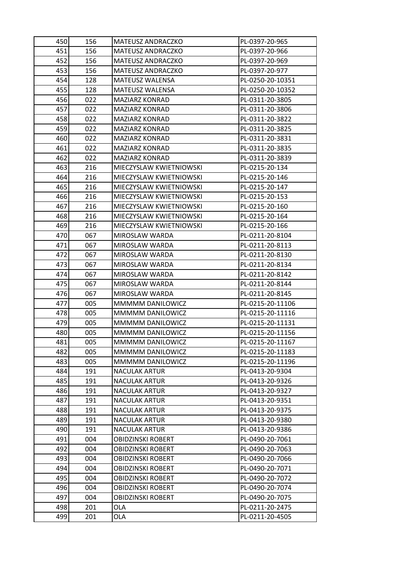| 450 | 156 | <b>MATEUSZ ANDRACZKO</b> | PL-0397-20-965   |
|-----|-----|--------------------------|------------------|
| 451 | 156 | MATEUSZ ANDRACZKO        | PL-0397-20-966   |
| 452 | 156 | MATEUSZ ANDRACZKO        | PL-0397-20-969   |
| 453 | 156 | MATEUSZ ANDRACZKO        | PL-0397-20-977   |
| 454 | 128 | <b>MATEUSZ WALENSA</b>   | PL-0250-20-10351 |
| 455 | 128 | <b>MATEUSZ WALENSA</b>   | PL-0250-20-10352 |
| 456 | 022 | MAZIARZ KONRAD           | PL-0311-20-3805  |
| 457 | 022 | <b>MAZIARZ KONRAD</b>    | PL-0311-20-3806  |
| 458 | 022 | MAZIARZ KONRAD           | PL-0311-20-3822  |
| 459 | 022 | MAZIARZ KONRAD           | PL-0311-20-3825  |
| 460 | 022 | MAZIARZ KONRAD           | PL-0311-20-3831  |
| 461 | 022 | MAZIARZ KONRAD           | PL-0311-20-3835  |
| 462 | 022 | MAZIARZ KONRAD           | PL-0311-20-3839  |
| 463 | 216 | MIECZYSLAW KWIETNIOWSKI  | PL-0215-20-134   |
| 464 | 216 | MIECZYSLAW KWIETNIOWSKI  | PL-0215-20-146   |
| 465 | 216 | MIECZYSLAW KWIETNIOWSKI  | PL-0215-20-147   |
| 466 | 216 | MIECZYSLAW KWIETNIOWSKI  | PL-0215-20-153   |
| 467 | 216 | MIECZYSLAW KWIETNIOWSKI  | PL-0215-20-160   |
| 468 | 216 | MIECZYSLAW KWIETNIOWSKI  | PL-0215-20-164   |
| 469 | 216 | MIECZYSLAW KWIETNIOWSKI  | PL-0215-20-166   |
| 470 | 067 | MIROSLAW WARDA           | PL-0211-20-8104  |
| 471 | 067 | MIROSLAW WARDA           | PL-0211-20-8113  |
| 472 | 067 | MIROSLAW WARDA           | PL-0211-20-8130  |
| 473 | 067 | MIROSLAW WARDA           | PL-0211-20-8134  |
| 474 | 067 | MIROSLAW WARDA           | PL-0211-20-8142  |
| 475 | 067 | MIROSLAW WARDA           | PL-0211-20-8144  |
| 476 | 067 | MIROSLAW WARDA           | PL-0211-20-8145  |
| 477 | 005 | MMMMM DANILOWICZ         | PL-0215-20-11106 |
| 478 | 005 | MMMMM DANILOWICZ         | PL-0215-20-11116 |
| 479 | 005 | MMMMM DANILOWICZ         | PL-0215-20-11131 |
| 480 | 005 | MMMMM DANILOWICZ         | PL-0215-20-11156 |
| 481 | 005 | MMMMM DANILOWICZ         | PL-0215-20-11167 |
| 482 | 005 | MMMMM DANILOWICZ         | PL-0215-20-11183 |
| 483 | 005 | MMMMM DANILOWICZ         | PL-0215-20-11196 |
| 484 | 191 | <b>NACULAK ARTUR</b>     | PL-0413-20-9304  |
| 485 | 191 | <b>NACULAK ARTUR</b>     | PL-0413-20-9326  |
| 486 | 191 | <b>NACULAK ARTUR</b>     | PL-0413-20-9327  |
| 487 | 191 | <b>NACULAK ARTUR</b>     | PL-0413-20-9351  |
| 488 | 191 | <b>NACULAK ARTUR</b>     | PL-0413-20-9375  |
| 489 | 191 | <b>NACULAK ARTUR</b>     | PL-0413-20-9380  |
| 490 | 191 | <b>NACULAK ARTUR</b>     | PL-0413-20-9386  |
| 491 | 004 | <b>OBIDZINSKI ROBERT</b> | PL-0490-20-7061  |
| 492 | 004 | <b>OBIDZINSKI ROBERT</b> | PL-0490-20-7063  |
| 493 | 004 | <b>OBIDZINSKI ROBERT</b> | PL-0490-20-7066  |
| 494 | 004 | OBIDZINSKI ROBERT        | PL-0490-20-7071  |
| 495 | 004 | <b>OBIDZINSKI ROBERT</b> | PL-0490-20-7072  |
| 496 | 004 | <b>OBIDZINSKI ROBERT</b> | PL-0490-20-7074  |
| 497 | 004 | <b>OBIDZINSKI ROBERT</b> | PL-0490-20-7075  |
| 498 | 201 | <b>OLA</b>               | PL-0211-20-2475  |
| 499 | 201 | OLA                      | PL-0211-20-4505  |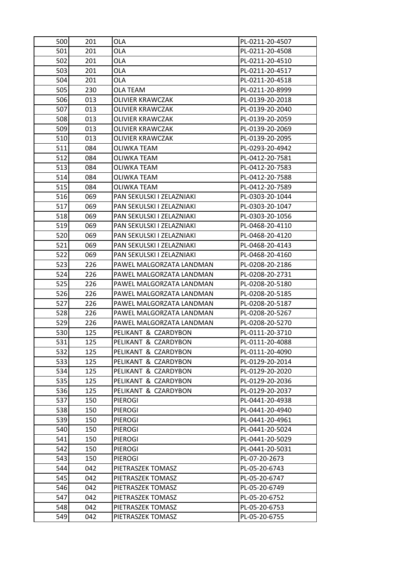| 500 | 201        | OLA                                    | PL-0211-20-4507                |
|-----|------------|----------------------------------------|--------------------------------|
| 501 | 201        | OLA                                    | PL-0211-20-4508                |
| 502 | 201        | OLA                                    | PL-0211-20-4510                |
| 503 | 201        | OLA                                    | PL-0211-20-4517                |
| 504 | 201        | OLA                                    | PL-0211-20-4518                |
| 505 | 230        | <b>OLA TEAM</b>                        | PL-0211-20-8999                |
| 506 | 013        | OLIVIER KRAWCZAK                       | PL-0139-20-2018                |
| 507 | 013        | <b>OLIVIER KRAWCZAK</b>                | PL-0139-20-2040                |
| 508 | 013        | <b>OLIVIER KRAWCZAK</b>                | PL-0139-20-2059                |
| 509 | 013        | OLIVIER KRAWCZAK                       | PL-0139-20-2069                |
| 510 | 013        | OLIVIER KRAWCZAK                       | PL-0139-20-2095                |
| 511 | 084        | OLIWKA TEAM                            | PL-0293-20-4942                |
| 512 | 084        | OLIWKA TEAM                            | PL-0412-20-7581                |
| 513 | 084        | OLIWKA TEAM                            | PL-0412-20-7583                |
| 514 | 084        | OLIWKA TEAM                            | PL-0412-20-7588                |
| 515 | 084        | OLIWKA TEAM                            | PL-0412-20-7589                |
| 516 | 069        | PAN SEKULSKI I ZELAZNIAKI              | PL-0303-20-1044                |
| 517 | 069        | PAN SEKULSKI I ZELAZNIAKI              | PL-0303-20-1047                |
| 518 | 069        | PAN SEKULSKI I ZELAZNIAKI              | PL-0303-20-1056                |
| 519 | 069        | PAN SEKULSKI I ZELAZNIAKI              | PL-0468-20-4110                |
| 520 | 069        | PAN SEKULSKI I ZELAZNIAKI              | PL-0468-20-4120                |
| 521 | 069        | PAN SEKULSKI I ZELAZNIAKI              | PL-0468-20-4143                |
| 522 | 069        | PAN SEKULSKI I ZELAZNIAKI              | PL-0468-20-4160                |
| 523 | 226        | PAWEL MALGORZATA LANDMAN               | PL-0208-20-2186                |
| 524 | 226        | PAWEL MALGORZATA LANDMAN               | PL-0208-20-2731                |
| 525 | 226        | PAWEL MALGORZATA LANDMAN               | PL-0208-20-5180                |
| 526 | 226        | PAWEL MALGORZATA LANDMAN               | PL-0208-20-5185                |
| 527 | 226        | PAWEL MALGORZATA LANDMAN               | PL-0208-20-5187                |
| 528 | 226        | PAWEL MALGORZATA LANDMAN               | PL-0208-20-5267                |
| 529 | 226        | PAWEL MALGORZATA LANDMAN               | PL-0208-20-5270                |
| 530 | 125        | PELIKANT & CZARDYBON                   | PL-0111-20-3710                |
| 531 | 125        | PELIKANT & CZARDYBON                   | PL-0111-20-4088                |
| 532 | 125        | PELIKANT & CZARDYBON                   | PL-0111-20-4090                |
| 533 | 125        | PELIKANT & CZARDYBON                   | PL-0129-20-2014                |
| 534 | 125        | PELIKANT & CZARDYBON                   | PL-0129-20-2020                |
| 535 | 125        | PELIKANT & CZARDYBON                   | PL-0129-20-2036                |
| 536 | 125        | PELIKANT & CZARDYBON                   | PL-0129-20-2037                |
| 537 | 150        | <b>PIEROGI</b>                         | PL-0441-20-4938                |
| 538 | 150        | <b>PIEROGI</b>                         | PL-0441-20-4940                |
| 539 | 150        | <b>PIEROGI</b>                         | PL-0441-20-4961                |
| 540 | 150        | <b>PIEROGI</b>                         | PL-0441-20-5024                |
| 541 | 150        | <b>PIEROGI</b>                         | PL-0441-20-5029                |
| 542 | 150        | <b>PIEROGI</b>                         | PL-0441-20-5031                |
| 543 | 150        | <b>PIEROGI</b>                         | PL-07-20-2673                  |
| 544 | 042        | PIETRASZEK TOMASZ                      | PL-05-20-6743                  |
| 545 | 042        | PIETRASZEK TOMASZ                      | PL-05-20-6747                  |
| 546 | 042        | PIETRASZEK TOMASZ                      | PL-05-20-6749                  |
| 547 | 042        | PIETRASZEK TOMASZ                      | PL-05-20-6752                  |
| 548 |            |                                        |                                |
| 549 | 042<br>042 | PIETRASZEK TOMASZ<br>PIETRASZEK TOMASZ | PL-05-20-6753<br>PL-05-20-6755 |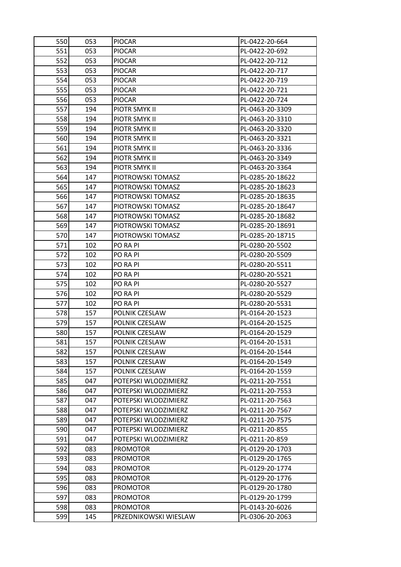| 550 | 053 | <b>PIOCAR</b>         | PL-0422-20-664   |
|-----|-----|-----------------------|------------------|
| 551 | 053 | <b>PIOCAR</b>         | PL-0422-20-692   |
| 552 | 053 | <b>PIOCAR</b>         | PL-0422-20-712   |
| 553 | 053 | <b>PIOCAR</b>         | PL-0422-20-717   |
| 554 | 053 | <b>PIOCAR</b>         | PL-0422-20-719   |
| 555 | 053 | <b>PIOCAR</b>         | PL-0422-20-721   |
| 556 | 053 | <b>PIOCAR</b>         | PL-0422-20-724   |
| 557 | 194 | PIOTR SMYK II         | PL-0463-20-3309  |
| 558 | 194 | PIOTR SMYK II         | PL-0463-20-3310  |
| 559 | 194 | PIOTR SMYK II         | PL-0463-20-3320  |
| 560 | 194 | PIOTR SMYK II         | PL-0463-20-3321  |
| 561 | 194 | PIOTR SMYK II         | PL-0463-20-3336  |
| 562 | 194 | PIOTR SMYK II         | PL-0463-20-3349  |
| 563 | 194 | PIOTR SMYK II         | PL-0463-20-3364  |
| 564 | 147 | PIOTROWSKI TOMASZ     | PL-0285-20-18622 |
| 565 | 147 | PIOTROWSKI TOMASZ     | PL-0285-20-18623 |
| 566 | 147 | PIOTROWSKI TOMASZ     | PL-0285-20-18635 |
| 567 | 147 | PIOTROWSKI TOMASZ     | PL-0285-20-18647 |
| 568 | 147 | PIOTROWSKI TOMASZ     | PL-0285-20-18682 |
| 569 | 147 | PIOTROWSKI TOMASZ     | PL-0285-20-18691 |
| 570 | 147 | PIOTROWSKI TOMASZ     | PL-0285-20-18715 |
| 571 | 102 | PO RA PI              | PL-0280-20-5502  |
| 572 | 102 | PO RA PI              | PL-0280-20-5509  |
| 573 | 102 | PO RA PI              | PL-0280-20-5511  |
| 574 | 102 | PO RA PI              | PL-0280-20-5521  |
| 575 | 102 | PO RA PI              | PL-0280-20-5527  |
| 576 | 102 | PO RA PI              | PL-0280-20-5529  |
| 577 | 102 | PO RA PI              | PL-0280-20-5531  |
| 578 | 157 | POLNIK CZESLAW        | PL-0164-20-1523  |
| 579 | 157 | POLNIK CZESLAW        | PL-0164-20-1525  |
| 580 | 157 | POLNIK CZESLAW        | PL-0164-20-1529  |
| 581 | 157 | POLNIK CZESLAW        | PL-0164-20-1531  |
| 582 | 157 | POLNIK CZESLAW        | PL-0164-20-1544  |
| 583 | 157 | POLNIK CZESLAW        | PL-0164-20-1549  |
| 584 | 157 | POLNIK CZESLAW        | PL-0164-20-1559  |
| 585 | 047 | POTEPSKI WLODZIMIERZ  | PL-0211-20-7551  |
| 586 | 047 | POTEPSKI WLODZIMIERZ  | PL-0211-20-7553  |
| 587 | 047 | POTEPSKI WLODZIMIERZ  | PL-0211-20-7563  |
| 588 | 047 | POTEPSKI WLODZIMIERZ  | PL-0211-20-7567  |
| 589 | 047 | POTEPSKI WLODZIMIERZ  | PL-0211-20-7575  |
| 590 | 047 | POTEPSKI WLODZIMIERZ  | PL-0211-20-855   |
| 591 | 047 | POTEPSKI WLODZIMIERZ  | PL-0211-20-859   |
| 592 | 083 | <b>PROMOTOR</b>       | PL-0129-20-1703  |
| 593 | 083 | <b>PROMOTOR</b>       | PL-0129-20-1765  |
| 594 | 083 | <b>PROMOTOR</b>       | PL-0129-20-1774  |
| 595 | 083 | <b>PROMOTOR</b>       | PL-0129-20-1776  |
| 596 | 083 | <b>PROMOTOR</b>       | PL-0129-20-1780  |
| 597 | 083 | <b>PROMOTOR</b>       | PL-0129-20-1799  |
| 598 | 083 | <b>PROMOTOR</b>       | PL-0143-20-6026  |
| 599 | 145 | PRZEDNIKOWSKI WIESLAW | PL-0306-20-2063  |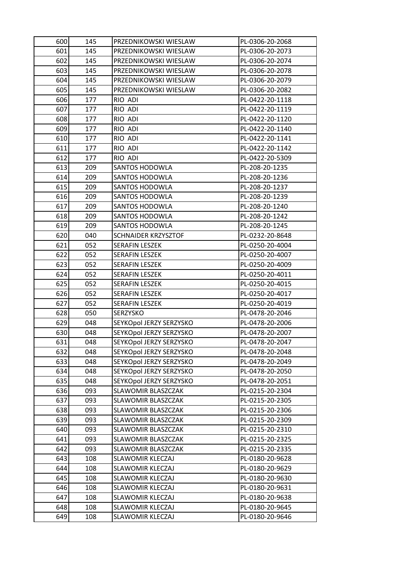| 600 | 145 | PRZEDNIKOWSKI WIESLAW      | PL-0306-20-2068 |
|-----|-----|----------------------------|-----------------|
| 601 | 145 | PRZEDNIKOWSKI WIESLAW      | PL-0306-20-2073 |
| 602 | 145 | PRZEDNIKOWSKI WIESLAW      | PL-0306-20-2074 |
| 603 | 145 | PRZEDNIKOWSKI WIESLAW      | PL-0306-20-2078 |
| 604 | 145 | PRZEDNIKOWSKI WIESLAW      | PL-0306-20-2079 |
| 605 | 145 | PRZEDNIKOWSKI WIESLAW      | PL-0306-20-2082 |
| 606 | 177 | RIO ADI                    | PL-0422-20-1118 |
| 607 | 177 | RIO ADI                    | PL-0422-20-1119 |
| 608 | 177 | RIO ADI                    | PL-0422-20-1120 |
| 609 | 177 | RIO ADI                    | PL-0422-20-1140 |
| 610 | 177 | RIO ADI                    | PL-0422-20-1141 |
| 611 | 177 | RIO ADI                    | PL-0422-20-1142 |
| 612 | 177 | RIO ADI                    | PL-0422-20-5309 |
| 613 | 209 | <b>SANTOS HODOWLA</b>      | PL-208-20-1235  |
| 614 | 209 | SANTOS HODOWLA             | PL-208-20-1236  |
| 615 | 209 | <b>SANTOS HODOWLA</b>      | PL-208-20-1237  |
| 616 | 209 | <b>SANTOS HODOWLA</b>      | PL-208-20-1239  |
| 617 | 209 | <b>SANTOS HODOWLA</b>      | PL-208-20-1240  |
| 618 | 209 | <b>SANTOS HODOWLA</b>      | PL-208-20-1242  |
| 619 | 209 | SANTOS HODOWLA             | PL-208-20-1245  |
| 620 | 040 | <b>SCHNAIDER KRZYSZTOF</b> | PL-0232-20-8648 |
| 621 | 052 | <b>SERAFIN LESZEK</b>      | PL-0250-20-4004 |
| 622 | 052 | <b>SERAFIN LESZEK</b>      | PL-0250-20-4007 |
| 623 | 052 | <b>SERAFIN LESZEK</b>      | PL-0250-20-4009 |
| 624 | 052 | SERAFIN LESZEK             | PL-0250-20-4011 |
| 625 | 052 | <b>SERAFIN LESZEK</b>      | PL-0250-20-4015 |
| 626 | 052 | <b>SERAFIN LESZEK</b>      | PL-0250-20-4017 |
| 627 | 052 | <b>SERAFIN LESZEK</b>      | PL-0250-20-4019 |
| 628 | 050 | SERZYSKO                   | PL-0478-20-2046 |
| 629 | 048 | SEYKOpol JERZY SERZYSKO    | PL-0478-20-2006 |
| 630 | 048 | SEYKOpol JERZY SERZYSKO    | PL-0478-20-2007 |
| 631 | 048 | SEYKOpol JERZY SERZYSKO    | PL-0478-20-2047 |
| 632 | 048 | SEYKOpol JERZY SERZYSKO    | PL-0478-20-2048 |
| 633 | 048 | SEYKOpol JERZY SERZYSKO    | PL-0478-20-2049 |
| 634 | 048 | SEYKOpol JERZY SERZYSKO    | PL-0478-20-2050 |
| 635 | 048 | SEYKOpol JERZY SERZYSKO    | PL-0478-20-2051 |
| 636 | 093 | SLAWOMIR BLASZCZAK         | PL-0215-20-2304 |
| 637 | 093 | SLAWOMIR BLASZCZAK         | PL-0215-20-2305 |
| 638 | 093 | SLAWOMIR BLASZCZAK         | PL-0215-20-2306 |
| 639 | 093 | SLAWOMIR BLASZCZAK         | PL-0215-20-2309 |
| 640 | 093 | SLAWOMIR BLASZCZAK         | PL-0215-20-2310 |
| 641 | 093 | SLAWOMIR BLASZCZAK         | PL-0215-20-2325 |
| 642 | 093 | SLAWOMIR BLASZCZAK         | PL-0215-20-2335 |
| 643 | 108 | SLAWOMIR KLECZAJ           | PL-0180-20-9628 |
| 644 | 108 | SLAWOMIR KLECZAJ           | PL-0180-20-9629 |
| 645 | 108 | <b>SLAWOMIR KLECZAJ</b>    | PL-0180-20-9630 |
| 646 | 108 | <b>SLAWOMIR KLECZAJ</b>    | PL-0180-20-9631 |
| 647 | 108 | SLAWOMIR KLECZAJ           | PL-0180-20-9638 |
| 648 | 108 | SLAWOMIR KLECZAJ           | PL-0180-20-9645 |
| 649 | 108 | SLAWOMIR KLECZAJ           | PL-0180-20-9646 |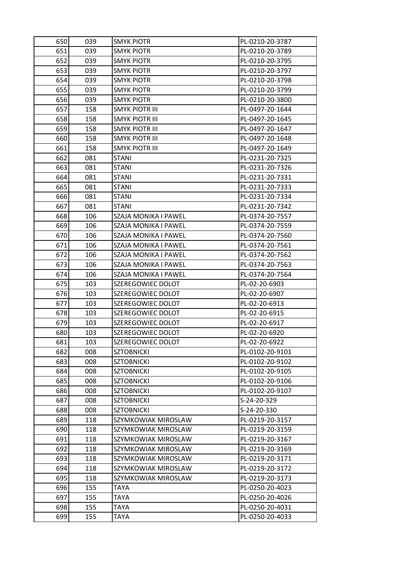| 650 | 039 | <b>SMYK PIOTR</b>     | PL-0210-20-3787 |
|-----|-----|-----------------------|-----------------|
| 651 | 039 | <b>SMYK PIOTR</b>     | PL-0210-20-3789 |
| 652 | 039 | SMYK PIOTR            | PL-0210-20-3795 |
| 653 | 039 | <b>SMYK PIOTR</b>     | PL-0210-20-3797 |
| 654 | 039 | SMYK PIOTR            | PL-0210-20-3798 |
| 655 | 039 | <b>SMYK PIOTR</b>     | PL-0210-20-3799 |
| 656 | 039 | <b>SMYK PIOTR</b>     | PL-0210-20-3800 |
| 657 | 158 | SMYK PIOTR III        | PL-0497-20-1644 |
| 658 | 158 | <b>SMYK PIOTR III</b> | PL-0497-20-1645 |
| 659 | 158 | SMYK PIOTR III        | PL-0497-20-1647 |
| 660 | 158 | <b>SMYK PIOTR III</b> | PL-0497-20-1648 |
| 661 | 158 | <b>SMYK PIOTR III</b> | PL-0497-20-1649 |
| 662 | 081 | STANI                 | PL-0231-20-7325 |
| 663 | 081 | <b>STANI</b>          | PL-0231-20-7326 |
| 664 | 081 | <b>STANI</b>          | PL-0231-20-7331 |
| 665 | 081 | <b>STANI</b>          | PL-0231-20-7333 |
| 666 | 081 | <b>STANI</b>          | PL-0231-20-7334 |
| 667 | 081 | <b>STANI</b>          | PL-0231-20-7342 |
| 668 | 106 | SZAJA MONIKA I PAWEL  | PL-0374-20-7557 |
| 669 | 106 | SZAJA MONIKA I PAWEL  | PL-0374-20-7559 |
| 670 | 106 | SZAJA MONIKA I PAWEL  | PL-0374-20-7560 |
| 671 | 106 | SZAJA MONIKA I PAWEL  | PL-0374-20-7561 |
| 672 | 106 | SZAJA MONIKA I PAWEL  | PL-0374-20-7562 |
| 673 | 106 | SZAJA MONIKA I PAWEL  | PL-0374-20-7563 |
| 674 | 106 | SZAJA MONIKA I PAWEL  | PL-0374-20-7564 |
| 675 | 103 | SZEREGOWIEC DOLOT     | PL-02-20-6903   |
| 676 | 103 | SZEREGOWIEC DOLOT     | PL-02-20-6907   |
| 677 | 103 | SZEREGOWIEC DOLOT     | PL-02-20-6913   |
| 678 | 103 | SZEREGOWIEC DOLOT     | PL-02-20-6915   |
| 679 | 103 | SZEREGOWIEC DOLOT     | PL-02-20-6917   |
| 680 | 103 | SZEREGOWIEC DOLOT     | PL-02-20-6920   |
| 681 | 103 | SZEREGOWIEC DOLOT     | PL-02-20-6922   |
| 682 | 008 | SZTOBNICKI            | PL-0102-20-9101 |
| 683 | 008 | <b>SZTOBNICKI</b>     | PL-0102-20-9102 |
| 684 | 008 | <b>SZTOBNICKI</b>     | PL-0102-20-9105 |
| 685 | 008 | <b>SZTOBNICKI</b>     | PL-0102-20-9106 |
| 686 | 008 | <b>SZTOBNICKI</b>     | PL-0102-20-9107 |
| 687 | 008 | <b>SZTOBNICKI</b>     | S-24-20-329     |
| 688 | 008 | <b>SZTOBNICKI</b>     | S-24-20-330     |
| 689 | 118 | SZYMKOWIAK MIROSLAW   | PL-0219-20-3157 |
| 690 | 118 | SZYMKOWIAK MIROSLAW   | PL-0219-20-3159 |
| 691 | 118 | SZYMKOWIAK MIROSLAW   | PL-0219-20-3167 |
| 692 | 118 | SZYMKOWIAK MIROSLAW   | PL-0219-20-3169 |
| 693 | 118 | SZYMKOWIAK MIROSLAW   | PL-0219-20-3171 |
| 694 | 118 | SZYMKOWIAK MIROSLAW   | PL-0219-20-3172 |
| 695 | 118 | SZYMKOWIAK MIROSLAW   | PL-0219-20-3173 |
| 696 | 155 | TAYA                  | PL-0250-20-4023 |
| 697 | 155 | TAYA                  | PL-0250-20-4026 |
| 698 | 155 | TAYA                  | PL-0250-20-4031 |
| 699 | 155 | TAYA                  | PL-0250-20-4033 |
|     |     |                       |                 |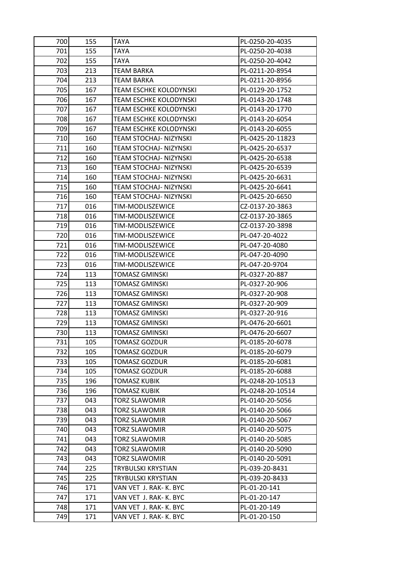| 700         | 155        | TAYA                                | PL-0250-20-4035                   |
|-------------|------------|-------------------------------------|-----------------------------------|
| 701         | 155        | TAYA                                | PL-0250-20-4038                   |
| 702         | 155        | TAYA                                | PL-0250-20-4042                   |
| 703         | 213        | <b>TEAM BARKA</b>                   | PL-0211-20-8954                   |
| 704         | 213        | TEAM BARKA                          | PL-0211-20-8956                   |
| 705         | 167        | TEAM ESCHKE KOLODYNSKI              | PL-0129-20-1752                   |
| 706         | 167        | TEAM ESCHKE KOLODYNSKI              | PL-0143-20-1748                   |
| 707         | 167        | TEAM ESCHKE KOLODYNSKI              | PL-0143-20-1770                   |
| 708         | 167        | TEAM ESCHKE KOLODYNSKI              | PL-0143-20-6054                   |
| 709         | 167        | TEAM ESCHKE KOLODYNSKI              | PL-0143-20-6055                   |
| 710         | 160        | TEAM STOCHAJ- NIZYNSKI              | PL-0425-20-11823                  |
| 711         | 160        | TEAM STOCHAJ- NIZYNSKI              | PL-0425-20-6537                   |
| 712         | 160        | TEAM STOCHAJ- NIZYNSKI              | PL-0425-20-6538                   |
| 713         | 160        | TEAM STOCHAJ- NIZYNSKI              | PL-0425-20-6539                   |
| 714         | 160        | TEAM STOCHAJ- NIZYNSKI              | PL-0425-20-6631                   |
| 715         | 160        | TEAM STOCHAJ- NIZYNSKI              | PL-0425-20-6641                   |
| 716         | 160        | TEAM STOCHAJ- NIZYNSKI              | PL-0425-20-6650                   |
| 717         | 016        | TIM-MODLISZEWICE                    | CZ-0137-20-3863                   |
| 718         | 016        | TIM-MODLISZEWICE                    | CZ-0137-20-3865                   |
| 719         | 016        | TIM-MODLISZEWICE                    | CZ-0137-20-3898                   |
| 720         | 016        | TIM-MODLISZEWICE                    | PL-047-20-4022                    |
| 721         | 016        | TIM-MODLISZEWICE                    | PL-047-20-4080                    |
| 722         | 016        | TIM-MODLISZEWICE                    | PL-047-20-4090                    |
| 723         | 016        | TIM-MODLISZEWICE                    | PL-047-20-9704                    |
| 724         | 113        | TOMASZ GMINSKI                      | PL-0327-20-887                    |
| 725         | 113        | TOMASZ GMINSKI                      | PL-0327-20-906                    |
| 726         | 113        | <b>TOMASZ GMINSKI</b>               | PL-0327-20-908                    |
| 727         | 113        | TOMASZ GMINSKI                      | PL-0327-20-909                    |
| 728         | 113        | TOMASZ GMINSKI                      | PL-0327-20-916                    |
| 729         | 113        | TOMASZ GMINSKI                      | PL-0476-20-6601                   |
| 730         | 113        | TOMASZ GMINSKI                      | PL-0476-20-6607                   |
| 731         | 105        | <b>TOMASZ GOZDUR</b>                | PL-0185-20-6078                   |
| 732         | 105        | TOMASZ GOZDUR                       | PL-0185-20-6079                   |
| 733         | 105        | TOMASZ GOZDUR                       | PL-0185-20-6081                   |
| 734         | 105        | <b>TOMASZ GOZDUR</b>                | PL-0185-20-6088                   |
| 735         | 196        | TOMASZ KUBIK                        | PL-0248-20-10513                  |
| 736         | 196        | <b>TOMASZ KUBIK</b>                 | PL-0248-20-10514                  |
| 737         | 043        | TORZ SLAWOMIR                       | PL-0140-20-5056                   |
| 738         | 043        | TORZ SLAWOMIR                       | PL-0140-20-5066                   |
| 739         | 043        | TORZ SLAWOMIR                       | PL-0140-20-5067                   |
| 740         | 043        | <b>TORZ SLAWOMIR</b>                | PL-0140-20-5075                   |
| 741         | 043        | <b>TORZ SLAWOMIR</b>                | PL-0140-20-5085                   |
| 742I<br>743 | 043<br>043 | TORZ SLAWOMIR                       | PL-0140-20-5090                   |
| 744         | 225        | TORZ SLAWOMIR<br>TRYBULSKI KRYSTIAN | PL-0140-20-5091<br>PL-039-20-8431 |
| 745         | 225        | TRYBULSKI KRYSTIAN                  | PL-039-20-8433                    |
| 746         | 171        | VAN VET J. RAK-K. BYC               | PL-01-20-141                      |
| 747I        | 171        | VAN VET J. RAK- K. BYC              | PL-01-20-147                      |
| 748         | 171        | VAN VET J. RAK- K. BYC              | PL-01-20-149                      |
| 749         |            |                                     |                                   |
|             | 171        | VAN VET J. RAK- K. BYC              | PL-01-20-150                      |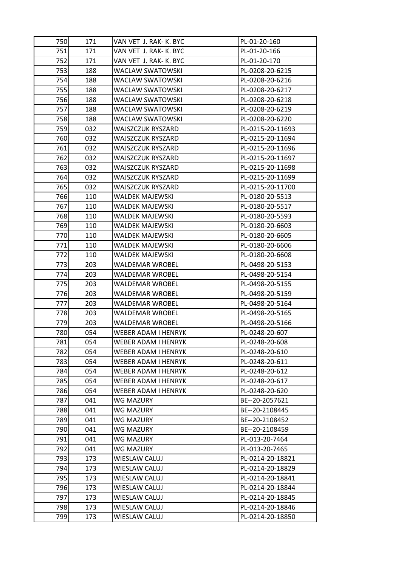| 750  | 171 | VAN VET J. RAK- K. BYC | PL-01-20-160     |
|------|-----|------------------------|------------------|
| 751  | 171 | VAN VET J. RAK- K. BYC | PL-01-20-166     |
| 752  | 171 | VAN VET J. RAK- K. BYC | PL-01-20-170     |
| 753  | 188 | WACLAW SWATOWSKI       | PL-0208-20-6215  |
| 754  | 188 | WACLAW SWATOWSKI       | PL-0208-20-6216  |
| 755  | 188 | WACLAW SWATOWSKI       | PL-0208-20-6217  |
| 756  | 188 | WACLAW SWATOWSKI       | PL-0208-20-6218  |
| 757  | 188 | WACLAW SWATOWSKI       | PL-0208-20-6219  |
| 758  | 188 | WACLAW SWATOWSKI       | PL-0208-20-6220  |
| 759  | 032 | WAJSZCZUK RYSZARD      | PL-0215-20-11693 |
| 760  | 032 | WAJSZCZUK RYSZARD      | PL-0215-20-11694 |
| 761  | 032 | WAJSZCZUK RYSZARD      | PL-0215-20-11696 |
| 7621 | 032 | WAJSZCZUK RYSZARD      | PL-0215-20-11697 |
| 763  | 032 | WAJSZCZUK RYSZARD      | PL-0215-20-11698 |
| 764  | 032 | WAJSZCZUK RYSZARD      | PL-0215-20-11699 |
| 765  | 032 | WAJSZCZUK RYSZARD      | PL-0215-20-11700 |
| 766  | 110 | WALDEK MAJEWSKI        | PL-0180-20-5513  |
| 767  | 110 | WALDEK MAJEWSKI        | PL-0180-20-5517  |
| 768  | 110 | WALDEK MAJEWSKI        | PL-0180-20-5593  |
| 769  | 110 | WALDEK MAJEWSKI        | PL-0180-20-6603  |
| 770  | 110 | WALDEK MAJEWSKI        | PL-0180-20-6605  |
| 771  | 110 | WALDEK MAJEWSKI        | PL-0180-20-6606  |
| 772I | 110 | WALDEK MAJEWSKI        | PL-0180-20-6608  |
| 773  | 203 | WALDEMAR WROBEL        | PL-0498-20-5153  |
| 774  | 203 | WALDEMAR WROBEL        | PL-0498-20-5154  |
| 775  | 203 | WALDEMAR WROBEL        | PL-0498-20-5155  |
| 776  | 203 | WALDEMAR WROBEL        | PL-0498-20-5159  |
| 777  | 203 | WALDEMAR WROBEL        | PL-0498-20-5164  |
| 778  | 203 | WALDEMAR WROBEL        | PL-0498-20-5165  |
| 779  | 203 | WALDEMAR WROBEL        | PL-0498-20-5166  |
| 780  | 054 | WEBER ADAM I HENRYK    | PL-0248-20-607   |
| 781  | 054 | WEBER ADAM I HENRYK    | PL-0248-20-608   |
| 782  | 054 | WEBER ADAM I HENRYK    | PL-0248-20-610   |
| 783  | 054 | WEBER ADAM I HENRYK    | PL-0248-20-611   |
| 784  | 054 | WEBER ADAM I HENRYK    | PL-0248-20-612   |
| 785  | 054 | WEBER ADAM I HENRYK    | PL-0248-20-617   |
| 786  | 054 | WEBER ADAM I HENRYK    | PL-0248-20-620   |
| 787  | 041 | WG MAZURY              | BE--20-2057621   |
| 788  | 041 | WG MAZURY              | BE--20-2108445   |
| 789  | 041 | WG MAZURY              | BE--20-2108452   |
| 790  | 041 | WG MAZURY              | BE--20-2108459   |
| 791  | 041 | WG MAZURY              | PL-013-20-7464   |
| 792  | 041 | WG MAZURY              | PL-013-20-7465   |
| 793  | 173 | WIESLAW CALUJ          | PL-0214-20-18821 |
| 794  | 173 | WIESLAW CALUJ          | PL-0214-20-18829 |
| 795  | 173 | WIESLAW CALUJ          | PL-0214-20-18841 |
| 796  | 173 | WIESLAW CALUJ          | PL-0214-20-18844 |
| 797  | 173 | WIESLAW CALUJ          | PL-0214-20-18845 |
| 798  | 173 | WIESLAW CALUJ          | PL-0214-20-18846 |
| 799  | 173 | WIESLAW CALUJ          | PL-0214-20-18850 |